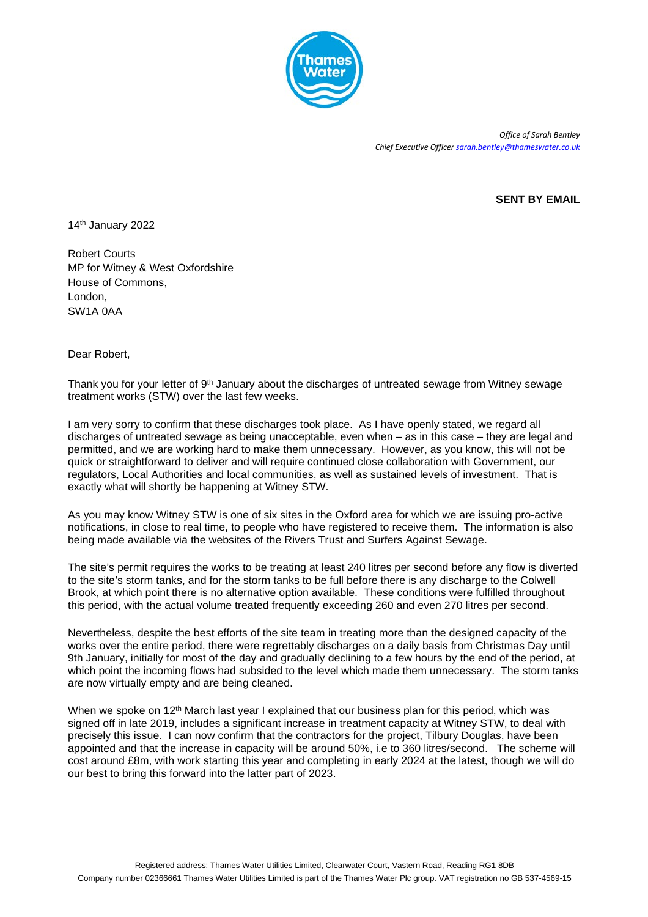

*Office of Sarah Bentley Chief Executive Officer [sarah.bentley@thameswater.co.uk](mailto:sarah.bentley@thameswater.co.uk)*

## **SENT BY EMAIL**

14th January 2022

Robert Courts MP for Witney & West Oxfordshire House of Commons, London, SW1A 0AA

Dear Robert,

Thank you for your letter of 9<sup>th</sup> January about the discharges of untreated sewage from Witney sewage treatment works (STW) over the last few weeks.

I am very sorry to confirm that these discharges took place. As I have openly stated, we regard all discharges of untreated sewage as being unacceptable, even when – as in this case – they are legal and permitted, and we are working hard to make them unnecessary. However, as you know, this will not be quick or straightforward to deliver and will require continued close collaboration with Government, our regulators, Local Authorities and local communities, as well as sustained levels of investment. That is exactly what will shortly be happening at Witney STW.

As you may know Witney STW is one of six sites in the Oxford area for which we are issuing pro-active notifications, in close to real time, to people who have registered to receive them. The information is also being made available via the websites of the Rivers Trust and Surfers Against Sewage.

The site's permit requires the works to be treating at least 240 litres per second before any flow is diverted to the site's storm tanks, and for the storm tanks to be full before there is any discharge to the Colwell Brook, at which point there is no alternative option available. These conditions were fulfilled throughout this period, with the actual volume treated frequently exceeding 260 and even 270 litres per second.

Nevertheless, despite the best efforts of the site team in treating more than the designed capacity of the works over the entire period, there were regrettably discharges on a daily basis from Christmas Day until 9th January, initially for most of the day and gradually declining to a few hours by the end of the period, at which point the incoming flows had subsided to the level which made them unnecessary. The storm tanks are now virtually empty and are being cleaned.

When we spoke on 12<sup>th</sup> March last year I explained that our business plan for this period, which was signed off in late 2019, includes a significant increase in treatment capacity at Witney STW, to deal with precisely this issue. I can now confirm that the contractors for the project, Tilbury Douglas, have been appointed and that the increase in capacity will be around 50%, i.e to 360 litres/second. The scheme will cost around £8m, with work starting this year and completing in early 2024 at the latest, though we will do our best to bring this forward into the latter part of 2023.